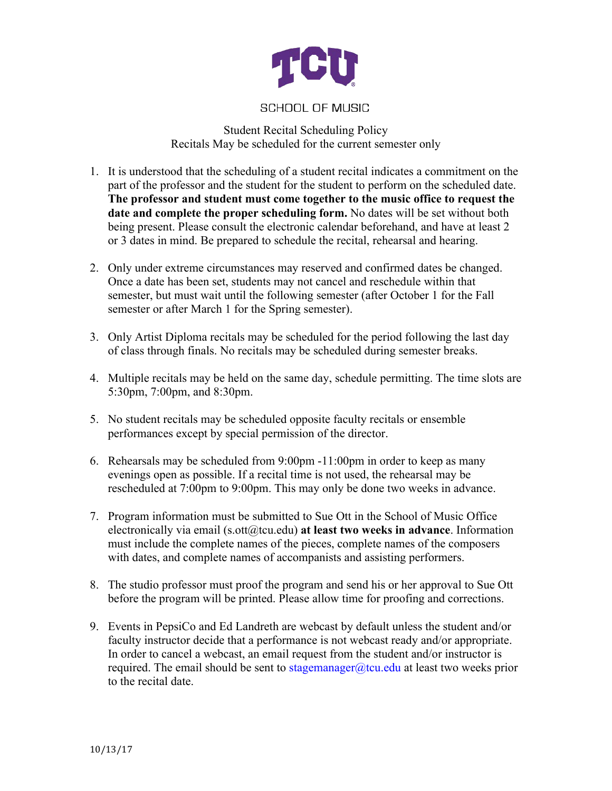

## **SCHOOL OF MUSIC**

Student Recital Scheduling Policy Recitals May be scheduled for the current semester only

- 1. It is understood that the scheduling of a student recital indicates a commitment on the part of the professor and the student for the student to perform on the scheduled date. **The professor and student must come together to the music office to request the date and complete the proper scheduling form.** No dates will be set without both being present. Please consult the electronic calendar beforehand, and have at least 2 or 3 dates in mind. Be prepared to schedule the recital, rehearsal and hearing.
- 2. Only under extreme circumstances may reserved and confirmed dates be changed. Once a date has been set, students may not cancel and reschedule within that semester, but must wait until the following semester (after October 1 for the Fall semester or after March 1 for the Spring semester).
- 3. Only Artist Diploma recitals may be scheduled for the period following the last day of class through finals. No recitals may be scheduled during semester breaks.
- 4. Multiple recitals may be held on the same day, schedule permitting. The time slots are 5:30pm, 7:00pm, and 8:30pm.
- 5. No student recitals may be scheduled opposite faculty recitals or ensemble performances except by special permission of the director.
- 6. Rehearsals may be scheduled from 9:00pm -11:00pm in order to keep as many evenings open as possible. If a recital time is not used, the rehearsal may be rescheduled at 7:00pm to 9:00pm. This may only be done two weeks in advance.
- 7. Program information must be submitted to Sue Ott in the School of Music Office electronically via email (s.ott@tcu.edu) at least two weeks in advance. Information must include the complete names of the pieces, complete names of the composers with dates, and complete names of accompanists and assisting performers.
- 8. The studio professor must proof the program and send his or her approval to Sue Ott before the program will be printed. Please allow time for proofing and corrections.
- 9. Events in PepsiCo and Ed Landreth are webcast by default unless the student and/or faculty instructor decide that a performance is not webcast ready and/or appropriate. In order to cancel a webcast, an email request from the student and/or instructor is required. The email should be sent to stagemanager@tcu.edu at least two weeks prior to the recital date.